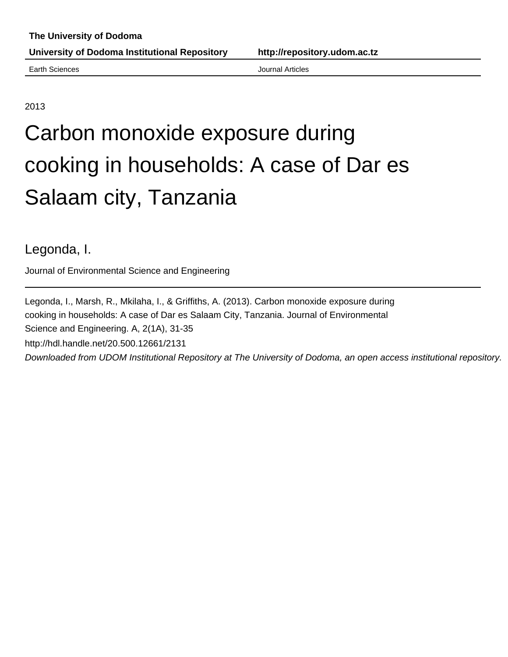Earth Sciences **Articles Earth Sciences Journal Articles** 

2013

# Carbon monoxide exposure during cooking in households: A case of Dar es Salaam city, Tanzania

Legonda, I.

Journal of Environmental Science and Engineering

Legonda, I., Marsh, R., Mkilaha, I., & Griffiths, A. (2013). Carbon monoxide exposure during cooking in households: A case of Dar es Salaam City, Tanzania. Journal of Environmental Science and Engineering. A, 2(1A), 31-35 http://hdl.handle.net/20.500.12661/2131 Downloaded from UDOM Institutional Repository at The University of Dodoma, an open access institutional repository.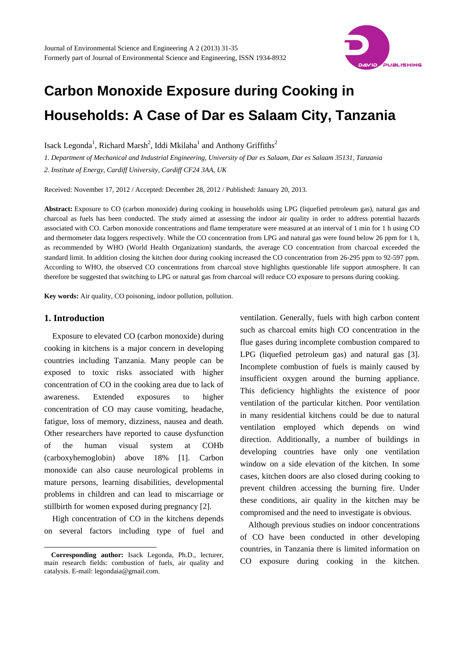

## **Carbon Monoxide Exposure during Cooking in Households: A Case of Dar es Salaam City, Tanzania**

Isack Legonda<sup>1</sup>, Richard Marsh<sup>2</sup>, Iddi Mkilaha<sup>1</sup> and Anthony Griffiths<sup>2</sup>

*1. Department of Mechanical and Industrial Engineering, University of Dar es Salaam, Dar es Salaam 35131, Tanzania 2. Institute of Energy, Cardiff University, Cardiff CF24 3AA, UK* 

Received: November 17, 2012 / Accepted: December 28, 2012 / Published: January 20, 2013.

**Abstract:** Exposure to CO (carbon monoxide) during cooking in households using LPG (liquefied petroleum gas), natural gas and charcoal as fuels has been conducted. The study aimed at assessing the indoor air quality in order to address potential hazards associated with CO. Carbon monoxide concentrations and flame temperature were measured at an interval of 1 min for 1 h using CO and thermometer data loggers respectively. While the CO concentration from LPG and natural gas were found below 26 ppm for 1 h, as recommended by WHO (World Health Organization) standards, the average CO concentration from charcoal exceeded the standard limit. In addition closing the kitchen door during cooking increased the CO concentration from 26-295 ppm to 92-597 ppm. According to WHO, the observed CO concentrations from charcoal stove highlights questionable life support atmosphere. It can therefore be suggested that switching to LPG or natural gas from charcoal will reduce CO exposure to persons during cooking.

**Key words:** Air quality, CO poisoning, indoor pollution, pollution.

### **1. Introduction**

 $\overline{a}$ 

Exposure to elevated CO (carbon monoxide) during cooking in kitchens is a major concern in developing countries including Tanzania. Many people can be exposed to toxic risks associated with higher concentration of CO in the cooking area due to lack of awareness. Extended exposures to higher concentration of CO may cause vomiting, headache, fatigue, loss of memory, dizziness, nausea and death. Other researchers have reported to cause dysfunction of the human visual system at COHb (carboxyhemoglobin) above 18% [1]. Carbon monoxide can also cause neurological problems in mature persons, learning disabilities, developmental problems in children and can lead to miscarriage or stillbirth for women exposed during pregnancy [2].

High concentration of CO in the kitchens depends on several factors including type of fuel and ventilation. Generally, fuels with high carbon content such as charcoal emits high CO concentration in the flue gases during incomplete combustion compared to LPG (liquefied petroleum gas) and natural gas [3]. Incomplete combustion of fuels is mainly caused by insufficient oxygen around the burning appliance. This deficiency highlights the existence of poor ventilation of the particular kitchen. Poor ventilation in many residential kitchens could be due to natural ventilation employed which depends on wind direction. Additionally, a number of buildings in developing countries have only one ventilation window on a side elevation of the kitchen. In some cases, kitchen doors are also closed during cooking to prevent children accessing the burning fire. Under these conditions, air quality in the kitchen may be compromised and the need to investigate is obvious.

Although previous studies on indoor concentrations of CO have been conducted in other developing countries, in Tanzania there is limited information on CO exposure during cooking in the kitchen.

**Corresponding author:** Isack Legonda, Ph.D., lecturer, main research fields: combustion of fuels, air quality and catalysis. E-mail: legondaia@gmail.com.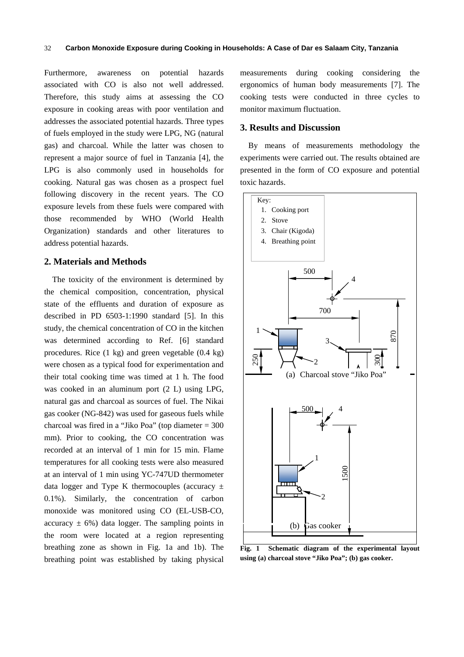Furthermore, awareness on potential hazards associated with CO is also not well addressed. Therefore, this study aims at assessing the CO exposure in cooking areas with poor ventilation and addresses the associated potential hazards. Three types of fuels employed in the study were LPG, NG (natural gas) and charcoal. While the latter was chosen to represent a major source of fuel in Tanzania [4], the LPG is also commonly used in households for cooking. Natural gas was chosen as a prospect fuel following discovery in the recent years. The CO exposure levels from these fuels were compared with those recommended by WHO (World Health Organization) standards and other literatures to address potential hazards.

#### **2. Materials and Methods**

The toxicity of the environment is determined by the chemical composition, concentration, physical state of the effluents and duration of exposure as described in PD 6503-1:1990 standard [5]. In this study, the chemical concentration of CO in the kitchen was determined according to Ref. [6] standard procedures. Rice (1 kg) and green vegetable (0.4 kg) were chosen as a typical food for experimentation and their total cooking time was timed at 1 h. The food was cooked in an aluminum port (2 L) using LPG, natural gas and charcoal as sources of fuel. The Nikai gas cooker (NG-842) was used for gaseous fuels while charcoal was fired in a "Jiko Poa" (top diameter = 300 mm). Prior to cooking, the CO concentration was recorded at an interval of 1 min for 15 min. Flame temperatures for all cooking tests were also measured at an interval of 1 min using YC-747UD thermometer data logger and Type K thermocouples (accuracy  $\pm$ 0.1%). Similarly, the concentration of carbon monoxide was monitored using CO (EL-USB-CO, accuracy  $\pm$  6%) data logger. The sampling points in the room were located at a region representing breathing zone as shown in Fig. 1a and 1b). The breathing point was established by taking physical measurements during cooking considering the ergonomics of human body measurements [7]. The cooking tests were conducted in three cycles to monitor maximum fluctuation.

#### **3. Results and Discussion**

By means of measurements methodology the experiments were carried out. The results obtained are presented in the form of CO exposure and potential toxic hazards.



**Fig. 1 Schematic diagram of the experimental layout using (a) charcoal stove "Jiko Poa"; (b) gas cooker.**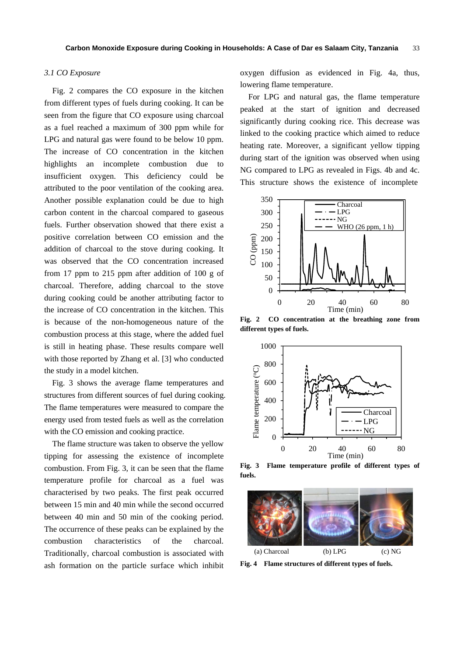#### *3.1 CO Exposure*

Fig. 2 compares the CO exposure in the kitchen from different types of fuels during cooking. It can be seen from the figure that CO exposure using charcoal as a fuel reached a maximum of 300 ppm while for LPG and natural gas were found to be below 10 ppm. The increase of CO concentration in the kitchen highlights an incomplete combustion due to insufficient oxygen. This deficiency could be attributed to the poor ventilation of the cooking area. Another possible explanation could be due to high carbon content in the charcoal compared to gaseous fuels. Further observation showed that there exist a positive correlation between CO emission and the addition of charcoal to the stove during cooking. It was observed that the CO concentration increased from 17 ppm to 215 ppm after addition of 100 g of charcoal. Therefore, adding charcoal to the stove during cooking could be another attributing factor to the increase of CO concentration in the kitchen. This is because of the non-homogeneous nature of the combustion process at this stage, where the added fuel is still in heating phase. These results compare well with those reported by Zhang et al. [3] who conducted the study in a model kitchen.

Fig. 3 shows the average flame temperatures and structures from different sources of fuel during cooking. The flame temperatures were measured to compare the energy used from tested fuels as well as the correlation with the CO emission and cooking practice.

The flame structure was taken to observe the yellow tipping for assessing the existence of incomplete combustion. From Fig. 3, it can be seen that the flame temperature profile for charcoal as a fuel was characterised by two peaks. The first peak occurred between 15 min and 40 min while the second occurred between 40 min and 50 min of the cooking period. The occurrence of these peaks can be explained by the combustion characteristics of the charcoal. Traditionally, charcoal combustion is associated with ash formation on the particle surface which inhibit oxygen diffusion as evidenced in Fig. 4a, thus, lowering flame temperature.

For LPG and natural gas, the flame temperature peaked at the start of ignition and decreased significantly during cooking rice. This decrease was linked to the cooking practice which aimed to reduce heating rate. Moreover, a significant yellow tipping during start of the ignition was observed when using NG compared to LPG as revealed in Figs. 4b and 4c. This structure shows the existence of incomplete



**Fig. 2 CO concentration at the breathing zone from different types of fuels.** 



**Fig. 3 Flame temperature profile of different types of fuels.** 



**Fig. 4 Flame structures of different types of fuels.**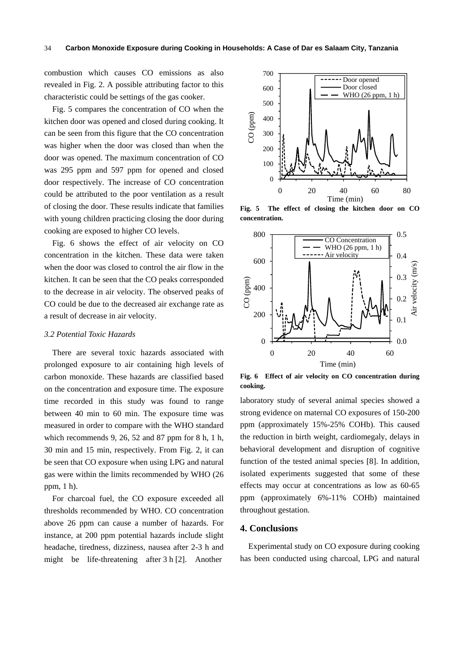combustion which causes CO emissions as also revealed in Fig. 2. A possible attributing factor to this characteristic could be settings of the gas cooker.

Fig. 5 compares the concentration of CO when the kitchen door was opened and closed during cooking. It can be seen from this figure that the CO concentration was higher when the door was closed than when the door was opened. The maximum concentration of CO was 295 ppm and 597 ppm for opened and closed door respectively. The increase of CO concentration could be attributed to the poor ventilation as a result of closing the door. These results indicate that families with young children practicing closing the door during cooking are exposed to higher CO levels.

Fig. 6 shows the effect of air velocity on CO concentration in the kitchen. These data were taken when the door was closed to control the air flow in the kitchen. It can be seen that the CO peaks corresponded to the decrease in air velocity. The observed peaks of CO could be due to the decreased air exchange rate as a result of decrease in air velocity.

#### *3.2 Potential Toxic Hazards*

There are several toxic hazards associated with prolonged exposure to air containing high levels of carbon monoxide. These hazards are classified based on the concentration and exposure time. The exposure time recorded in this study was found to range between 40 min to 60 min. The exposure time was measured in order to compare with the WHO standard which recommends 9, 26, 52 and 87 ppm for 8 h, 1 h, 30 min and 15 min, respectively. From Fig. 2, it can be seen that CO exposure when using LPG and natural gas were within the limits recommended by WHO (26 ppm, 1 h).

For charcoal fuel, the CO exposure exceeded all thresholds recommended by WHO. CO concentration above 26 ppm can cause a number of hazards. For instance, at 200 ppm potential hazards include slight headache, tiredness, dizziness, nausea after 2-3 h and might be life-threatening after 3 h [2]. Another



**Fig. 5 The effect of closing the kitchen door on CO concentration.** 



**Fig. 6 Effect of air velocity on CO concentration during cooking.** 

laboratory study of several animal species showed a strong evidence on maternal CO exposures of 150-200 ppm (approximately 15%-25% COHb). This caused the reduction in birth weight, cardiomegaly, delays in behavioral development and disruption of cognitive function of the tested animal species [8]. In addition, isolated experiments suggested that some of these effects may occur at concentrations as low as 60-65 ppm (approximately 6%-11% COHb) maintained throughout gestation.

#### **4. Conclusions**

Experimental study on CO exposure during cooking has been conducted using charcoal, LPG and natural